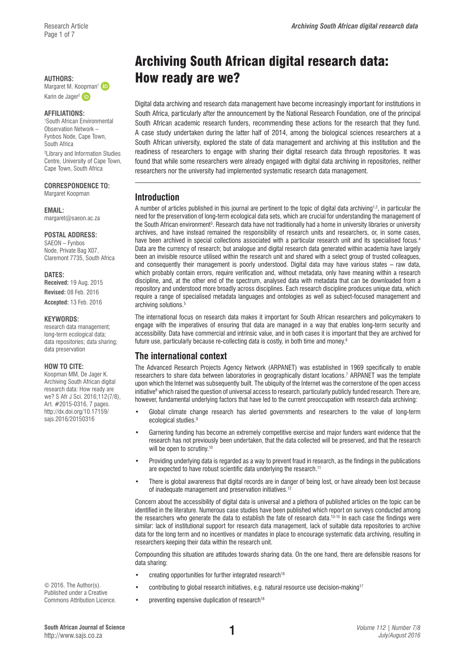Karin de Jager<sup>[2](http://orcid.org/0000-0001-5573-2389)</sup> D

#### **AFFILIATIONS:**

1 South African Environmental Observation Network – Fynbos Node, Cape Town, South Africa

2 Library and Information Studies Centre, University of Cape Town, Cape Town, South Africa

# **CORRESPONDENCE TO:**

Margaret Koopman

#### **EMAIL:**

[margaret@saeon.ac.za](mailto:margaret@saeon.ac.za)

#### **POSTAL ADDRESS:**

SAEON – Fynbos Node, Private Bag X07, Claremont 7735, South Africa

### **DATES:**

**Received:** 19 Aug. 2015 **Revised:** 08 Feb. 2016

**Accepted:** 13 Feb. 2016

#### **KEYWORDS:**

research data management; long-term ecological data; data repositories; data sharing; data preservation

#### **HOW TO CITE:**

Koopman MM, De Jager K. Archiving South African digital research data: How ready are we? S Afr J Sci. 2016;112(7/8), Art. #2015-0316, 7 pages. [http://dx.doi.org/10.17159/](http://dx.doi.org/10.17159/sajs.2016/20150316) [sajs.2016/20150316](http://dx.doi.org/10.17159/sajs.2016/20150316)

© 2016. The Author(s). Published under a Creative Commons Attribution Licence.

# Archiving South African digital research data: AUTHORS: **How ready are we? How ready**

Digital data archiving and research data management have become increasingly important for institutions in South Africa, particularly after the announcement by the National Research Foundation, one of the principal South African academic research funders, recommending these actions for the research that they fund. A case study undertaken during the latter half of 2014, among the biological sciences researchers at a South African university, explored the state of data management and archiving at this institution and the readiness of researchers to engage with sharing their digital research data through repositories. It was found that while some researchers were already engaged with digital data archiving in repositories, neither researchers nor the university had implemented systematic research data management.

# **Introduction**

A number of articles published in this journal are pertinent to the topic of digital data archiving<sup>1,2</sup>, in particular the need for the preservation of long-term ecological data sets, which are crucial for understanding the management of the South African environment<sup>3</sup>. Research data have not traditionally had a home in university libraries or university archives, and have instead remained the responsibility of research units and researchers, or, in some cases, have been archived in special collections associated with a particular research unit and its specialised focus.<sup>4</sup> Data are the currency of research; but analogue and digital research data generated within academia have largely been an invisible resource utilised within the research unit and shared with a select group of trusted colleagues, and consequently their management is poorly understood. Digital data may have various states – raw data, which probably contain errors, require verification and, without metadata, only have meaning within a research discipline, and, at the other end of the spectrum, analysed data with metadata that can be downloaded from a repository and understood more broadly across disciplines. Each research discipline produces unique data, which require a range of specialised metadata languages and ontologies as well as subject-focused management and archiving solutions.<sup>5</sup>

The international focus on research data makes it important for South African researchers and policymakers to engage with the imperatives of ensuring that data are managed in a way that enables long-term security and accessibility. Data have commercial and intrinsic value, and in both cases it is important that they are archived for future use, particularly because re-collecting data is costly, in both time and money.6

# **The international context**

The Advanced Research Projects Agency Network (ARPANET) was established in 1969 specifically to enable researchers to share data between laboratories in geographically distant locations.<sup>7</sup> ARPANET was the template upon which the Internet was subsequently built. The ubiquity of the Internet was the cornerstone of the open access initiative<sup>8</sup> which raised the question of universal access to research, particularly publicly funded research. There are, however, fundamental underlying factors that have led to the current preoccupation with research data archiving:

- Global climate change research has alerted governments and researchers to the value of long-term ecological studies.<sup>9</sup>
- Garnering funding has become an extremely competitive exercise and major funders want evidence that the research has not previously been undertaken, that the data collected will be preserved, and that the research will be open to scrutiny.<sup>10</sup>
- Providing underlying data is regarded as a way to prevent fraud in research, as the findings in the publications are expected to have robust scientific data underlying the research.<sup>11</sup>
- There is global awareness that digital records are in danger of being lost, or have already been lost because of inadequate management and preservation initiatives.12

Concern about the accessibility of digital data is universal and a plethora of published articles on the topic can be identified in the literature. Numerous case studies have been published which report on surveys conducted among the researchers who generate the data to establish the fate of research data.<sup>13-15</sup> In each case the findings were similar: lack of institutional support for research data management, lack of suitable data repositories to archive data for the long term and no incentives or mandates in place to encourage systematic data archiving, resulting in researchers keeping their data within the research unit.

Compounding this situation are attitudes towards sharing data. On the one hand, there are defensible reasons for data sharing:

- creating opportunities for further integrated research<sup>16</sup>
- contributing to global research initiatives, e.g. natural resource use decision-making17
- preventing expensive duplication of research<sup>18</sup>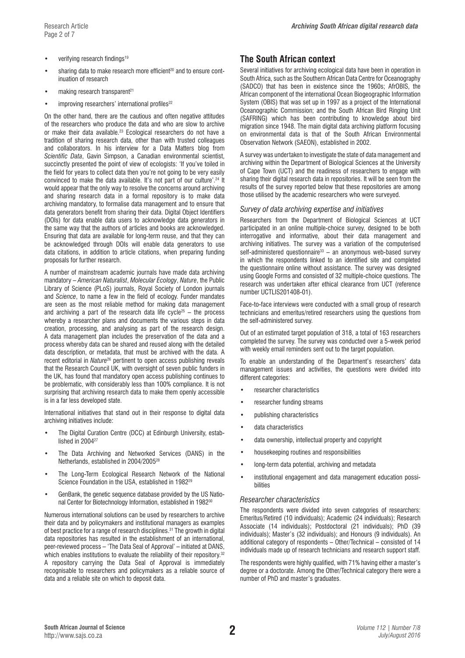- verifying research findings<sup>19</sup>
- sharing data to make research more efficient<sup>20</sup> and to ensure continuation of research
- $\bullet$  making research transparent<sup>21</sup>
- improving researchers' international profiles<sup>22</sup>

On the other hand, there are the cautious and often negative attitudes of the researchers who produce the data and who are slow to archive or make their data available.<sup>23</sup> Ecological researchers do not have a tradition of sharing research data, other than with trusted colleagues and collaborators. In his interview for a Data Matters blog from *Scientific Data*, Gavin Simpson, a Canadian environmental scientist, succinctly presented the point of view of ecologists: 'If you've toiled in the field for years to collect data then you're not going to be very easily convinced to make the data available. It's not part of our culture'.24 It would appear that the only way to resolve the concerns around archiving and sharing research data in a formal repository is to make data archiving mandatory, to formalise data management and to ensure that data generators benefit from sharing their data. Digital Object Identifiers (DOIs) for data enable data users to acknowledge data generators in the same way that the authors of articles and books are acknowledged. Ensuring that data are available for long-term reuse, and that they can be acknowledged through DOIs will enable data generators to use data citations, in addition to article citations, when preparing funding proposals for further research.

A number of mainstream academic journals have made data archiving mandatory – *American Naturalist*, *Molecular Ecology*, *Nature*, the Public Library of Science (PLoS) journals, Royal Society of London journals and *Science*, to name a few in the field of ecology. Funder mandates are seen as the most reliable method for making data management and archiving a part of the research data life cycle<sup>25</sup> – the process whereby a researcher plans and documents the various steps in data creation, processing, and analysing as part of the research design. A data management plan includes the preservation of the data and a process whereby data can be shared and reused along with the detailed data description, or metadata, that must be archived with the data. A recent editorial in *Nature*26 pertinent to open access publishing reveals that the Research Council UK, with oversight of seven public funders in the UK, has found that mandatory open access publishing continues to be problematic, with considerably less than 100% compliance. It is not surprising that archiving research data to make them openly accessible is in a far less developed state.

International initiatives that stand out in their response to digital data archiving initiatives include:

- The Digital Curation Centre (DCC) at Edinburgh University, established in 2004<sup>27</sup>
- The Data Archiving and Networked Services (DANS) in the Netherlands, established in 2004/200528
- The Long-Term Ecological Research Network of the National Science Foundation in the USA, established in 198229
- GenBank, the genetic sequence database provided by the US National Center for Biotechnology Information, established in 1982<sup>30</sup>

Numerous international solutions can be used by researchers to archive their data and by policymakers and institutional managers as examples of best practice for a range of research disciplines.31 The growth in digital data repositories has resulted in the establishment of an international, peer-reviewed process – 'The Data Seal of Approval' – initiated at DANS, which enables institutions to evaluate the reliability of their repository.<sup>32</sup> A repository carrying the Data Seal of Approval is immediately recognisable to researchers and policymakers as a reliable source of data and a reliable site on which to deposit data.

# **The South African context**

Several initiatives for archiving ecological data have been in operation in South Africa, such as the Southern African Data Centre for Oceanography (SADCO) that has been in existence since the 1960s; AfrOBIS, the African component of the international Ocean Biogeographic Information System (OBIS) that was set up in 1997 as a project of the International Oceanographic Commission; and the South African Bird Ringing Unit (SAFRING) which has been contributing to knowledge about bird migration since 1948. The main digital data archiving platform focusing on environmental data is that of the South African Environmental Observation Network (SAEON), established in 2002.

A survey was undertaken to investigate the state of data management and archiving within the Department of Biological Sciences at the University of Cape Town (UCT) and the readiness of researchers to engage with sharing their digital research data in repositories. It will be seen from the results of the survey reported below that these repositories are among those utilised by the academic researchers who were surveyed.

#### *Survey of data archiving expertise and initiatives*

Researchers from the Department of Biological Sciences at UCT participated in an online multiple-choice survey, designed to be both interrogative and informative, about their data management and archiving initiatives. The survey was a variation of the computerised self-administered questionnaire $33 -$ an anonymous web-based survey in which the respondents linked to an identified site and completed the questionnaire online without assistance. The survey was designed using Google Forms and consisted of 32 multiple-choice questions. The research was undertaken after ethical clearance from UCT (reference number UCTLIS201408-01).

Face-to-face interviews were conducted with a small group of research technicians and emeritus/retired researchers using the questions from the self-administered survey.

Out of an estimated target population of 318, a total of 163 researchers completed the survey. The survey was conducted over a 5-week period with weekly email reminders sent out to the target population.

To enable an understanding of the Department's researchers' data management issues and activities, the questions were divided into different categories:

- researcher characteristics
- researcher funding streams
- publishing characteristics
- data characteristics
- data ownership, intellectual property and copyright
- housekeeping routines and responsibilities
- long-term data potential, archiving and metadata
- institutional engagement and data management education possibilities

#### *Researcher characteristics*

The respondents were divided into seven categories of researchers: Emeritus/Retired (10 individuals); Academic (24 individuals); Research Associate (14 individuals); Postdoctoral (21 individuals); PhD (39 individuals); Master's (32 individuals); and Honours (9 individuals). An additional category of respondents – Other/Technical – consisted of 14 individuals made up of research technicians and research support staff.

The respondents were highly qualified, with 71% having either a master's degree or a doctorate. Among the Other/Technical category there were a number of PhD and master's graduates.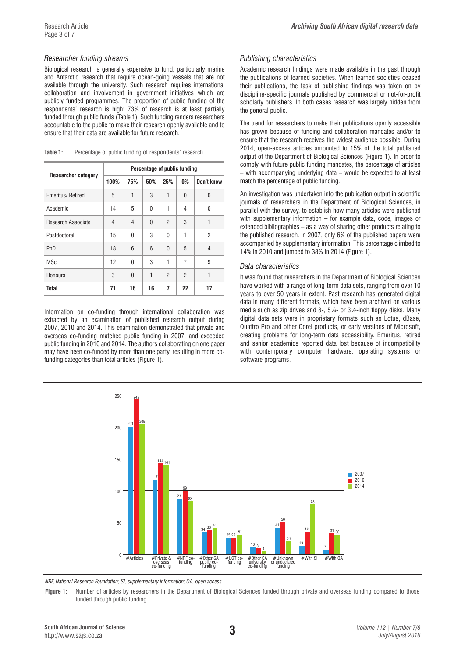#### *Researcher funding streams*

Biological research is generally expensive to fund, particularly marine and Antarctic research that require ocean-going vessels that are not available through the university. Such research requires international collaboration and involvement in government initiatives which are publicly funded programmes. The proportion of public funding of the respondents' research is high: 73% of research is at least partially funded through public funds (Table 1). Such funding renders researchers accountable to the public to make their research openly available and to ensure that their data are available for future research.

|                            | Percentage of public funding |          |                 |                |                |                |  |
|----------------------------|------------------------------|----------|-----------------|----------------|----------------|----------------|--|
| <b>Researcher category</b> | 100%                         | 75%      | 50%             | 25%            | $0\%$          | Don't know     |  |
| Emeritus/Retired           | 5                            | 1        | 3               | 1              | $\Omega$       | $\Omega$       |  |
| Academic                   | 14                           | 5        | 0               | 1              | $\overline{4}$ | $\Omega$       |  |
| Research Associate         | 4                            | 4        | $\mathbf{0}$    | $\overline{2}$ | 3              | 1              |  |
| Postdoctoral               | 15                           | 0        | 3               | $\Omega$       | 1              | 2              |  |
| <b>PhD</b>                 | 18                           | 6        | $6\overline{6}$ | $\mathbf{0}$   | 5              | $\overline{4}$ |  |
| <b>MSc</b>                 | 12                           | $\Omega$ | 3               | 1              | $\overline{7}$ | 9              |  |
| Honours                    | 3                            | $\Omega$ | 1               | $\overline{2}$ | $\overline{2}$ | 1              |  |
| Total                      | 71                           | 16       | 16              | 7              | 22             | 17             |  |

Table 1: Percentage of public funding of respondents' research

Information on co-funding through international collaboration was extracted by an examination of published research output during 2007, 2010 and 2014. This examination demonstrated that private and overseas co-funding matched public funding in 2007, and exceeded public funding in 2010 and 2014. The authors collaborating on one paper may have been co-funded by more than one party, resulting in more cofunding categories than total articles (Figure 1).

#### *Publishing characteristics*

Academic research findings were made available in the past through the publications of learned societies. When learned societies ceased their publications, the task of publishing findings was taken on by discipline-specific journals published by commercial or not-for-profit scholarly publishers. In both cases research was largely hidden from the general public.

The trend for researchers to make their publications openly accessible has grown because of funding and collaboration mandates and/or to ensure that the research receives the widest audience possible. During 2014, open-access articles amounted to 15% of the total published output of the Department of Biological Sciences (Figure 1). In order to comply with future public funding mandates, the percentage of articles – with accompanying underlying data – would be expected to at least match the percentage of public funding.

An investigation was undertaken into the publication output in scientific journals of researchers in the Department of Biological Sciences, in parallel with the survey, to establish how many articles were published with supplementary information – for example data, code, images or extended bibliographies – as a way of sharing other products relating to the published research. In 2007, only 6% of the published papers were accompanied by supplementary information. This percentage climbed to 14% in 2010 and jumped to 38% in 2014 (Figure 1).

#### *Data characteristics*

It was found that researchers in the Department of Biological Sciences have worked with a range of long-term data sets, ranging from over 10 years to over 50 years in extent. Past research has generated digital data in many different formats, which have been archived on various media such as zip drives and 8-, 5¼- or 3½-inch floppy disks. Many digital data sets were in proprietary formats such as Lotus, dBase, Quattro Pro and other Corel products, or early versions of Microsoft, creating problems for long-term data accessibility. Emeritus, retired and senior academics reported data lost because of incompatibility with contemporary computer hardware, operating systems or software programs.



*NRF, National Research Foundation; SI, supplementary information; OA, open access*

Figure 1: Number of articles by researchers in the Department of Biological Sciences funded through private and overseas funding compared to those funded through public funding.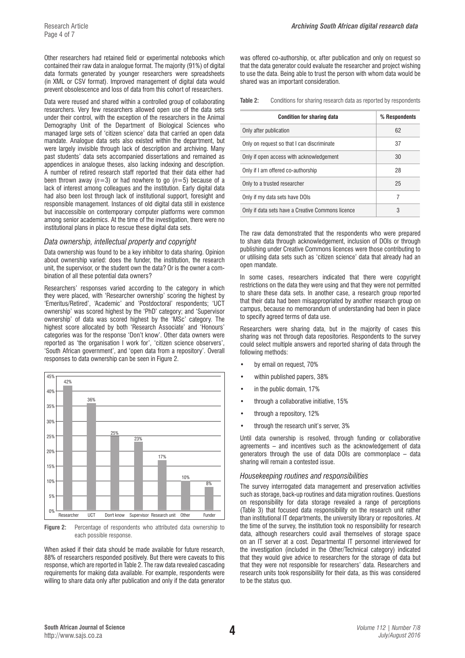Other researchers had retained field or experimental notebooks which contained their raw data in analogue format. The majority (91%) of digital data formats generated by younger researchers were spreadsheets (in XML or CSV format). Improved management of digital data would prevent obsolescence and loss of data from this cohort of researchers.

Data were reused and shared within a controlled group of collaborating researchers. Very few researchers allowed open use of the data sets under their control, with the exception of the researchers in the Animal Demography Unit of the Department of Biological Sciences who managed large sets of 'citizen science' data that carried an open data mandate. Analogue data sets also existed within the department, but were largely invisible through lack of description and archiving. Many past students' data sets accompanied dissertations and remained as appendices in analogue theses, also lacking indexing and description. A number of retired research staff reported that their data either had been thrown away  $(n=3)$  or had nowhere to go  $(n=5)$  because of a lack of interest among colleagues and the institution. Early digital data had also been lost through lack of institutional support, foresight and responsible management. Instances of old digital data still in existence but inaccessible on contemporary computer platforms were common among senior academics. At the time of the investigation, there were no institutional plans in place to rescue these digital data sets.

#### *Data ownership, intellectual property and copyright*

Data ownership was found to be a key inhibitor to data sharing. Opinion about ownership varied: does the funder, the institution, the research unit, the supervisor, or the student own the data? Or is the owner a combination of all these potential data owners?

Researchers' responses varied according to the category in which they were placed, with 'Researcher ownership' scoring the highest by 'Emeritus/Retired', 'Academic' and 'Postdoctoral' respondents; 'UCT ownership' was scored highest by the 'PhD' category; and 'Supervisor ownership' of data was scored highest by the 'MSc' category. The highest score allocated by both 'Research Associate' and 'Honours' categories was for the response 'Don't know'. Other data owners were reported as 'the organisation I work for', 'citizen science observers', 'South African government', and 'open data from a repository'. Overall responses to data ownership can be seen in Figure 2.



**Figure 2:** Percentage of respondents who attributed data ownership to each possible response.

When asked if their data should be made available for future research, 88% of researchers responded positively. But there were caveats to this response, which are reported in Table 2. The raw data revealed cascading requirements for making data available. For example, respondents were willing to share data only after publication and only if the data generator

was offered co-authorship, or, after publication and only on request so that the data generator could evaluate the researcher and project wishing to use the data. Being able to trust the person with whom data would be shared was an important consideration.

**Table 2:** Conditions for sharing research data as reported by respondents

| <b>Condition for sharing data</b>                 | % Respondents |
|---------------------------------------------------|---------------|
| Only after publication                            | 62            |
| Only on request so that I can discriminate        | 37            |
| Only if open access with acknowledgement          | 30            |
| Only if I am offered co-authorship                | 28            |
| Only to a trusted researcher                      | 25            |
| Only if my data sets have DOIs                    | 7             |
| Only if data sets have a Creative Commons licence | 3             |

The raw data demonstrated that the respondents who were prepared to share data through acknowledgement, inclusion of DOIs or through publishing under Creative Commons licences were those contributing to or utilising data sets such as 'citizen science' data that already had an open mandate.

In some cases, researchers indicated that there were copyright restrictions on the data they were using and that they were not permitted to share these data sets. In another case, a research group reported that their data had been misappropriated by another research group on campus, because no memorandum of understanding had been in place to specify agreed terms of data use.

Researchers were sharing data, but in the majority of cases this sharing was not through data repositories. Respondents to the survey could select multiple answers and reported sharing of data through the following methods:

- by email on request, 70%
- within published papers, 38%
- in the public domain, 17%
- through a collaborative initiative, 15%
- through a repository, 12%
- through the research unit's server, 3%

Until data ownership is resolved, through funding or collaborative agreements – and incentives such as the acknowledgement of data generators through the use of data DOIs are commonplace – data sharing will remain a contested issue.

## *Housekeeping routines and responsibilities*

The survey interrogated data management and preservation activities such as storage, back-up routines and data migration routines. Questions on responsibility for data storage revealed a range of perceptions (Table 3) that focused data responsibility on the research unit rather than institutional IT departments, the university library or repositories. At the time of the survey, the institution took no responsibility for research data, although researchers could avail themselves of storage space on an IT server at a cost. Departmental IT personnel interviewed for the investigation (included in the Other/Technical category) indicated that they would give advice to researchers for the storage of data but that they were not responsible for researchers' data. Researchers and research units took responsibility for their data, as this was considered to be the status quo.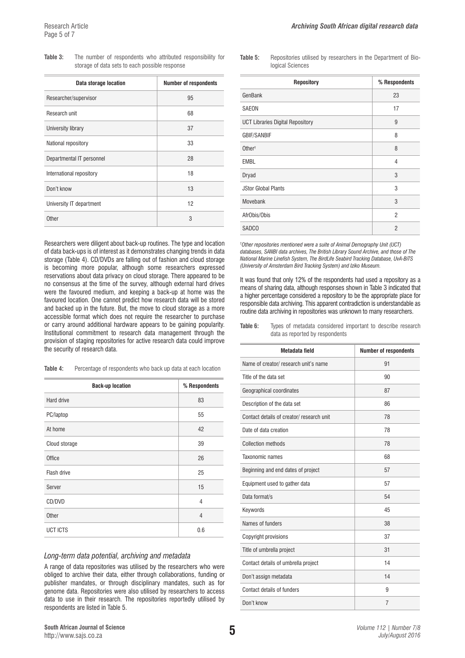| Table 3: |  |                                                | The number of respondents who attributed responsibility for |  |
|----------|--|------------------------------------------------|-------------------------------------------------------------|--|
|          |  | storage of data sets to each possible response |                                                             |  |

| Data storage location     | <b>Number of respondents</b> |
|---------------------------|------------------------------|
| Researcher/supervisor     | 95                           |
| Research unit             | 68                           |
| University library        | 37                           |
| National repository       | 33                           |
| Departmental IT personnel | 28                           |
| International repository  | 18                           |
| Don't know                | 13                           |
| University IT department  | 12                           |
| Other                     | 3                            |

Researchers were diligent about back-up routines. The type and location of data back-ups is of interest as it demonstrates changing trends in data storage (Table 4). CD/DVDs are falling out of fashion and cloud storage is becoming more popular, although some researchers expressed reservations about data privacy on cloud storage. There appeared to be no consensus at the time of the survey, although external hard drives were the favoured medium, and keeping a back-up at home was the favoured location. One cannot predict how research data will be stored and backed up in the future. But, the move to cloud storage as a more accessible format which does not require the researcher to purchase or carry around additional hardware appears to be gaining popularity. Institutional commitment to research data management through the provision of staging repositories for active research data could improve the security of research data.

| Table 4: | Percentage of respondents who back up data at each location |
|----------|-------------------------------------------------------------|
|----------|-------------------------------------------------------------|

| <b>Back-up location</b> | % Respondents  |
|-------------------------|----------------|
| Hard drive              | 83             |
| PC/laptop               | 55             |
| At home                 | 42             |
| Cloud storage           | 39             |
| Office                  | 26             |
| Flash drive             | 25             |
| Server                  | 15             |
| CD/DVD                  | $\overline{4}$ |
| Other                   | $\overline{4}$ |
| <b>UCT ICTS</b>         | 0.6            |

#### *Long-term data potential, archiving and metadata*

A range of data repositories was utilised by the researchers who were obliged to archive their data, either through collaborations, funding or publisher mandates, or through disciplinary mandates, such as for genome data. Repositories were also utilised by researchers to access data to use in their research. The repositories reportedly utilised by respondents are listed in Table 5.

**Table 5:** Repositories utilised by researchers in the Department of Biological Sciences

| <b>Repository</b>                       | % Respondents  |
|-----------------------------------------|----------------|
| GenBank                                 | 23             |
| <b>SAEON</b>                            | 17             |
| <b>UCT Libraries Digital Repository</b> | 9              |
| <b>GBIF/SANBIF</b>                      | 8              |
| Other <sup>+</sup>                      | 8              |
| <b>EMBL</b>                             | $\overline{4}$ |
| Dryad                                   | 3              |
| <b>JStor Global Plants</b>              | 3              |
| Movebank                                | 3              |
| AfrObis/Obis                            | $\overline{2}$ |
| <b>SADCO</b>                            | $\overline{2}$ |

*† Other repositories mentioned were a suite of Animal Demography Unit (UCT) databases, SANBI data archives, The British Library Sound Archive, and those of The National Marine Linefish System, The BirdLife Seabird Tracking Database, UvA-BiTS (University of Amsterdam Bird Tracking System) and Iziko Museum.*

It was found that only 12% of the respondents had used a repository as a means of sharing data, although responses shown in Table 3 indicated that a higher percentage considered a repository to be the appropriate place for responsible data archiving. This apparent contradiction is understandable as routine data archiving in repositories was unknown to many researchers.

| Table 6: |  | Types of metadata considered important to describe research |  |  |
|----------|--|-------------------------------------------------------------|--|--|
|          |  | data as reported by respondents                             |  |  |

| Metadata field                           | <b>Number of respondents</b> |
|------------------------------------------|------------------------------|
| Name of creator/ research unit's name    | 91                           |
| Title of the data set                    | 90                           |
| Geographical coordinates                 | 87                           |
| Description of the data set              | 86                           |
| Contact details of creator/research unit | 78                           |
| Date of data creation                    | 78                           |
| Collection methods                       | 78                           |
| Taxonomic names                          | 68                           |
| Beginning and end dates of project       | 57                           |
| Equipment used to gather data            | 57                           |
| Data format/s                            | 54                           |
| Keywords                                 | 45                           |
| Names of funders                         | 38                           |
| Copyright provisions                     | 37                           |
| Title of umbrella project                | 31                           |
| Contact details of umbrella project      | 14                           |
| Don't assign metadata                    | 14                           |
| Contact details of funders               | 9                            |
| Don't know                               | 7                            |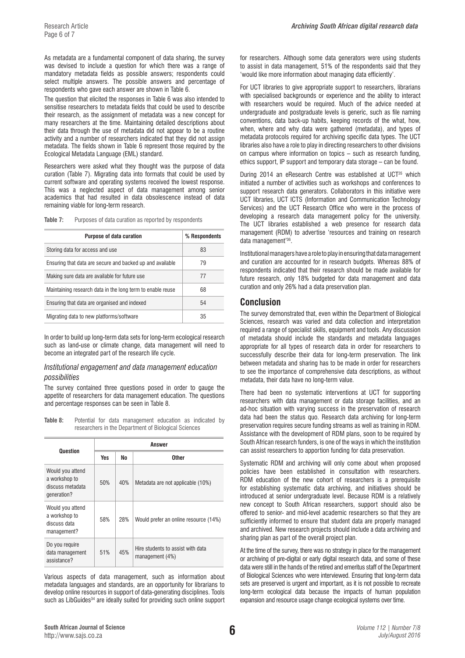As metadata are a fundamental component of data sharing, the survey was devised to include a question for which there was a range of mandatory metadata fields as possible answers; respondents could select multiple answers. The possible answers and percentage of respondents who gave each answer are shown in Table 6.

The question that elicited the responses in Table 6 was also intended to sensitise researchers to metadata fields that could be used to describe their research, as the assignment of metadata was a new concept for many researchers at the time. Maintaining detailed descriptions about their data through the use of metadata did not appear to be a routine activity and a number of researchers indicated that they did not assign metadata. The fields shown in Table 6 represent those required by the Ecological Metadata Language (EML) standard.

Researchers were asked what they thought was the purpose of data curation (Table 7). Migrating data into formats that could be used by current software and operating systems received the lowest response. This was a neglected aspect of data management among senior academics that had resulted in data obsolescence instead of data remaining viable for long-term research.

**Table 7:** Purposes of data curation as reported by respondents

| <b>Purpose of data curation</b>                            | % Respondents |
|------------------------------------------------------------|---------------|
| Storing data for access and use                            | 83            |
| Ensuring that data are secure and backed up and available  | 79            |
| Making sure data are available for future use              | 77            |
| Maintaining research data in the long term to enable reuse | 68            |
| Ensuring that data are organised and indexed               | 54            |
| Migrating data to new platforms/software                   | 35            |

In order to build up long-term data sets for long-term ecological research such as land-use or climate change, data management will need to become an integrated part of the research life cycle.

#### *Institutional engagement and data management education possibilities*

The survey contained three questions posed in order to gauge the appetite of researchers for data management education. The questions and percentage responses can be seen in Table 8.

**Table 8:** Potential for data management education as indicated by researchers in the Department of Biological Sciences

| Question                                                             | Answer |     |                                                      |  |  |
|----------------------------------------------------------------------|--------|-----|------------------------------------------------------|--|--|
|                                                                      | Yes    | No  | <b>Other</b>                                         |  |  |
| Would you attend<br>a workshop to<br>discuss metadata<br>qeneration? | 50%    | 40% | Metadata are not applicable (10%)                    |  |  |
| Would you attend<br>a workshop to<br>discuss data<br>management?     | 58%    | 28% | Would prefer an online resource (14%)                |  |  |
| Do you require<br>data management<br>assistance?                     | 51%    | 45% | Hire students to assist with data<br>management (4%) |  |  |

Various aspects of data management, such as information about metadata languages and standards, are an opportunity for librarians to develop online resources in support of data-generating disciplines. Tools such as LibGuides<sup>34</sup> are ideally suited for providing such online support for researchers. Although some data generators were using students to assist in data management, 51% of the respondents said that they 'would like more information about managing data efficiently'.

For UCT libraries to give appropriate support to researchers, librarians with specialised backgrounds or experience and the ability to interact with researchers would be required. Much of the advice needed at undergraduate and postgraduate levels is generic, such as file naming conventions, data back-up habits, keeping records of the what, how, when, where and why data were gathered (metadata), and types of metadata protocols required for archiving specific data types. The UCT libraries also have a role to play in directing researchers to other divisions on campus where information on topics – such as research funding, ethics support, IP support and temporary data storage – can be found.

During 2014 an eResearch Centre was established at UCT<sup>35</sup> which initiated a number of activities such as workshops and conferences to support research data generators. Collaborators in this initiative were UCT libraries, UCT ICTS (Information and Communication Technology Services) and the UCT Research Office who were in the process of developing a research data management policy for the university. The UCT libraries established a web presence for research data management (RDM) to advertise 'resources and training on research data management'36.

Institutional managers have a role to play in ensuring that data management and curation are accounted for in research budgets. Whereas 88% of respondents indicated that their research should be made available for future research, only 18% budgeted for data management and data curation and only 26% had a data preservation plan.

#### **Conclusion**

The survey demonstrated that, even within the Department of Biological Sciences, research was varied and data collection and interpretation required a range of specialist skills, equipment and tools. Any discussion of metadata should include the standards and metadata languages appropriate for all types of research data in order for researchers to successfully describe their data for long-term preservation. The link between metadata and sharing has to be made in order for researchers to see the importance of comprehensive data descriptions, as without metadata, their data have no long-term value.

There had been no systematic interventions at UCT for supporting researchers with data management or data storage facilities, and an ad-hoc situation with varying success in the preservation of research data had been the status quo. Research data archiving for long-term preservation requires secure funding streams as well as training in RDM. Assistance with the development of RDM plans, soon to be required by South African research funders, is one of the ways in which the institution can assist researchers to apportion funding for data preservation.

Systematic RDM and archiving will only come about when proposed policies have been established in consultation with researchers. RDM education of the new cohort of researchers is a prerequisite for establishing systematic data archiving, and initiatives should be introduced at senior undergraduate level. Because RDM is a relatively new concept to South African researchers, support should also be offered to senior- and mid-level academic researchers so that they are sufficiently informed to ensure that student data are properly managed and archived. New research projects should include a data archiving and sharing plan as part of the overall project plan.

At the time of the survey, there was no strategy in place for the management or archiving of pre-digital or early digital research data, and some of these data were still in the hands of the retired and emeritus staff of the Department of Biological Sciences who were interviewed. Ensuring that long-term data sets are preserved is urgent and important, as it is not possible to recreate long-term ecological data because the impacts of human population expansion and resource usage change ecological systems over time.